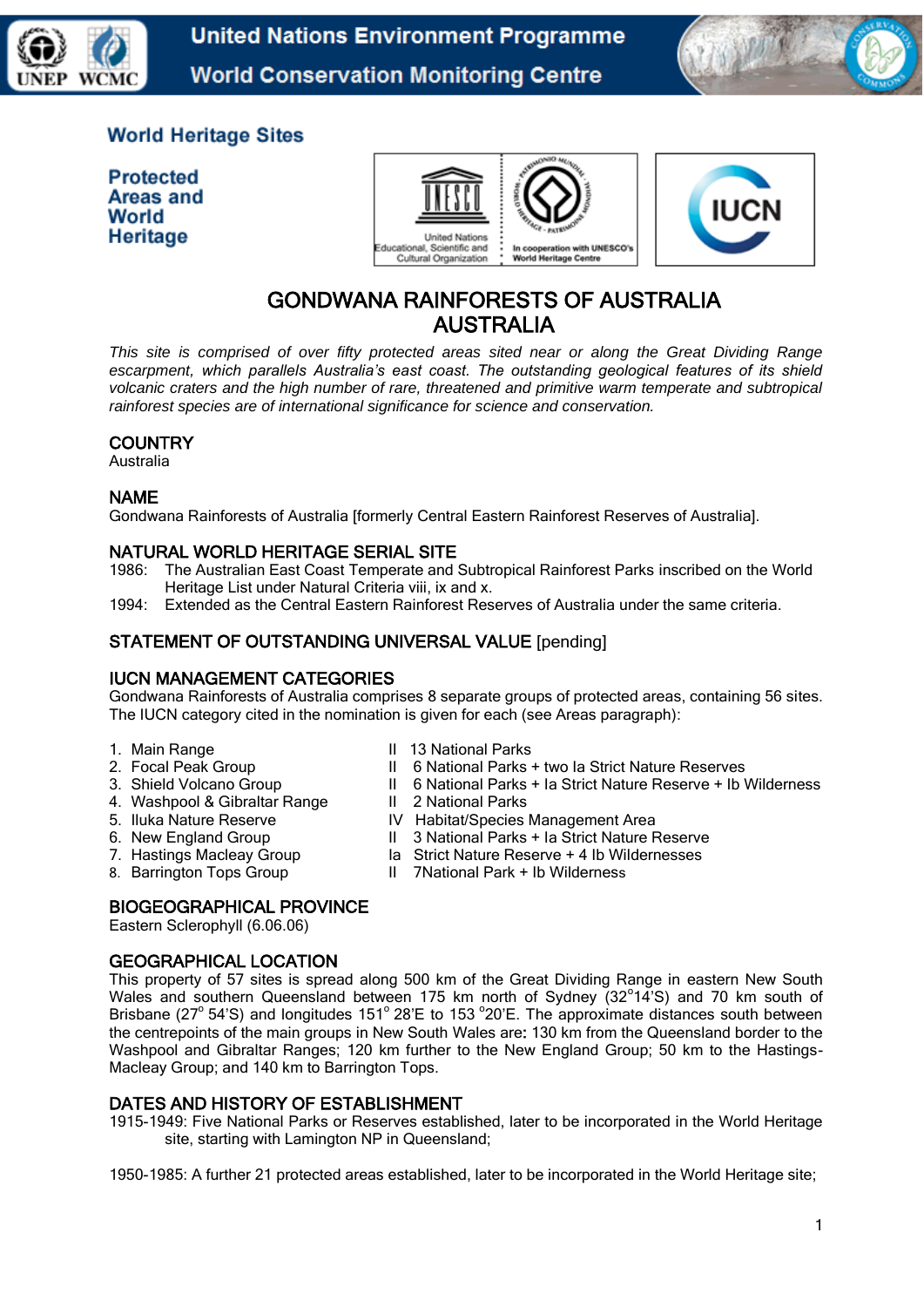



# **World Heritage Sites**

**Protected Areas and** World Heritage





# GONDWANA RAINFORESTS OF AUSTRALIA AUSTRALIA

*This site is comprised of over fifty protected areas sited near or along the Great Dividing Range escarpment, which parallels Australia's east coast. The outstanding geological features of its shield volcanic craters and the high number of rare, threatened and primitive warm temperate and subtropical rainforest species are of international significance for science and conservation.* 

## **COUNTRY**

Australia

## NAME

Gondwana Rainforests of Australia [formerly Central Eastern Rainforest Reserves of Australia].

## NATURAL WORLD HERITAGE SERIAL SITE

- 1986: The Australian East Coast Temperate and Subtropical Rainforest Parks inscribed on the World Heritage List under Natural Criteria viii, ix and x.
- 1994: Extended as the Central Eastern Rainforest Reserves of Australia under the same criteria.

## STATEMENT OF OUTSTANDING UNIVERSAL VALUE [pending]

## IUCN MANAGEMENT CATEGORIES

Gondwana Rainforests of Australia comprises 8 separate groups of protected areas, containing 56 sites. The IUCN category cited in the nomination is given for each (see Areas paragraph):

- 
- 
- 
- 4. Washpool & Gibraltar Range
- 
- 
- 
- 
- 1. Main Range **II 13 National Parks**
- 2. Focal Peak Group **II** 6 National Parks + two la Strict Nature Reserves<br>3. Shield Volcano Group **II** 6 National Parks + la Strict Nature Reserve + lb \
	- 1. 6 National Parks + Ia Strict Nature Reserve + Ib Wilderness II 2 National Parks
	-
- 5. Iluka Nature Reserve IV Habitat/Species Management Area
- 6. New England Group II 3 National Parks + Ia Strict Nature Reserve
- 7. Hastings Macleay Group Ia Strict Nature Reserve + 4 Ib Wildernesses
- 8. Barrington Tops Group II 7National Park + Ib Wilderness

## BIOGEOGRAPHICAL PROVINCE

Eastern Sclerophyll (6.06.06)

## GEOGRAPHICAL LOCATION

This property of 57 sites is spread along 500 km of the Great Dividing Range in eastern New South Wales and southern Queensland between 175 km north of Sydney (32°14'S) and 70 km south of Brisbane (27° 54'S) and longitudes 151° 28'E to 153 °20'E. The approximate distances south between the centrepoints of the main groups in New South Wales are: 130 km from the Queensland border to the Washpool and Gibraltar Ranges; 120 km further to the New England Group; 50 km to the Hastings-Macleay Group; and 140 km to Barrington Tops.

# DATES AND HISTORY OF ESTABLISHMENT

1915-1949: Five National Parks or Reserves established, later to be incorporated in the World Heritage site, starting with Lamington NP in Queensland;

1950-1985: A further 21 protected areas established, later to be incorporated in the World Heritage site;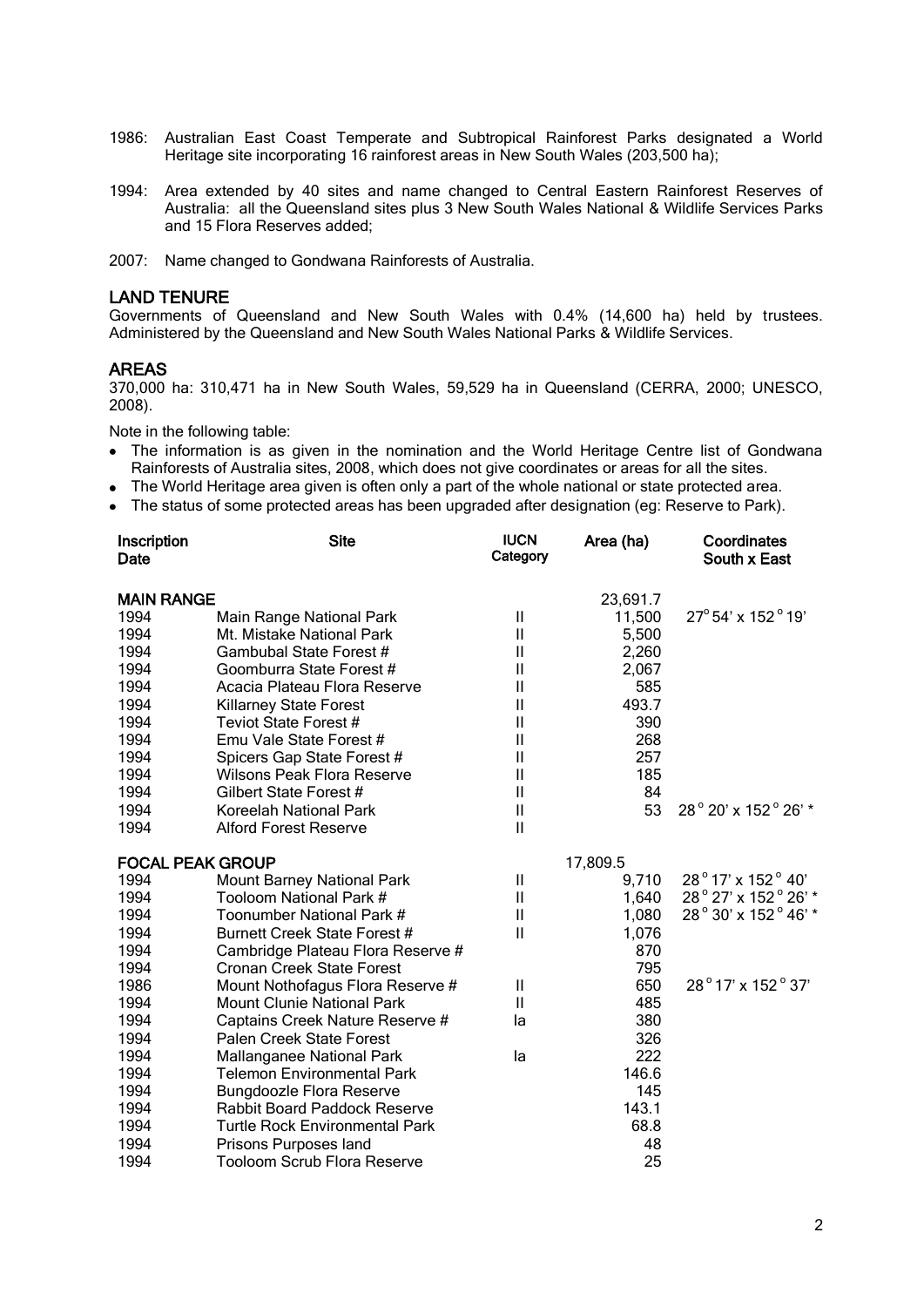- 1986: Australian East Coast Temperate and Subtropical Rainforest Parks designated a World Heritage site incorporating 16 rainforest areas in New South Wales (203,500 ha);
- 1994: Area extended by 40 sites and name changed to Central Eastern Rainforest Reserves of Australia: all the Queensland sites plus 3 New South Wales National & Wildlife Services Parks and 15 Flora Reserves added;
- 2007: Name changed to Gondwana Rainforests of Australia.

#### LAND TENURE

Governments of Queensland and New South Wales with 0.4% (14,600 ha) held by trustees. Administered by the Queensland and New South Wales National Parks & Wildlife Services.

#### AREAS

370,000 ha: 310,471 ha in New South Wales, 59,529 ha in Queensland (CERRA, 2000; UNESCO, 2008).

Note in the following table:

- The information is as given in the nomination and the World Heritage Centre list of Gondwana Rainforests of Australia sites, 2008, which does not give coordinates or areas for all the sites.
- The World Heritage area given is often only a part of the whole national or state protected area.
- The status of some protected areas has been upgraded after designation (eg: Reserve to Park).

| Inscription<br>Date     | <b>Site</b>                           | <b>IUCN</b><br>Category | Area (ha) | Coordinates<br>South x East |
|-------------------------|---------------------------------------|-------------------------|-----------|-----------------------------|
| <b>MAIN RANGE</b>       |                                       |                         | 23,691.7  |                             |
| 1994                    | Main Range National Park              | $\mathbf{  }$           | 11,500    | 27° 54' x 152° 19'          |
| 1994                    | Mt. Mistake National Park             | $\mathbf{I}$            | 5,500     |                             |
| 1994                    | Gambubal State Forest #               | Ш                       | 2,260     |                             |
| 1994                    | Goomburra State Forest #              | $\mathbf{I}$            | 2,067     |                             |
| 1994                    | Acacia Plateau Flora Reserve          | Ш                       | 585       |                             |
| 1994                    | Killarney State Forest                | Ш                       | 493.7     |                             |
| 1994                    | Teviot State Forest #                 | Ш                       | 390       |                             |
| 1994                    | Emu Vale State Forest #               | Ш                       | 268       |                             |
| 1994                    | Spicers Gap State Forest #            | $\mathbf{I}$            | 257       |                             |
| 1994                    | <b>Wilsons Peak Flora Reserve</b>     | Ш                       | 185       |                             |
| 1994                    | Gilbert State Forest #                | Ш                       | 84        |                             |
| 1994                    | Koreelah National Park                | $\sf II$                | 53        | 28° 20' x 152° 26' *        |
| 1994                    | <b>Alford Forest Reserve</b>          | $\mathbf{I}$            |           |                             |
| <b>FOCAL PEAK GROUP</b> |                                       |                         | 17,809.5  |                             |
| 1994                    | <b>Mount Barney National Park</b>     | Ш                       | 9,710     | 28°17' x 152°40'            |
| 1994                    | Tooloom National Park #               | Ш                       | 1,640     | 28° 27' x 152° 26' *        |
| 1994                    | Toonumber National Park #             | Ш                       | 1,080     | 28° 30' x 152° 46' *        |
| 1994                    | Burnett Creek State Forest #          | $\mathbf{I}$            | 1,076     |                             |
| 1994                    | Cambridge Plateau Flora Reserve #     |                         | 870       |                             |
| 1994                    | <b>Cronan Creek State Forest</b>      |                         | 795       |                             |
| 1986                    | Mount Nothofagus Flora Reserve #      | Ш                       | 650       | 28°17' x 152°37'            |
| 1994                    | <b>Mount Clunie National Park</b>     | Ш                       | 485       |                             |
| 1994                    | Captains Creek Nature Reserve #       | la                      | 380       |                             |
| 1994                    | Palen Creek State Forest              |                         | 326       |                             |
| 1994                    | Mallanganee National Park             | la                      | 222       |                             |
| 1994                    | Telemon Environmental Park            |                         | 146.6     |                             |
| 1994                    | <b>Bungdoozle Flora Reserve</b>       |                         | 145       |                             |
| 1994                    | Rabbit Board Paddock Reserve          |                         | 143.1     |                             |
| 1994                    | <b>Turtle Rock Environmental Park</b> |                         | 68.8      |                             |
| 1994                    | Prisons Purposes land                 |                         | 48        |                             |
| 1994                    | Tooloom Scrub Flora Reserve           |                         | 25        |                             |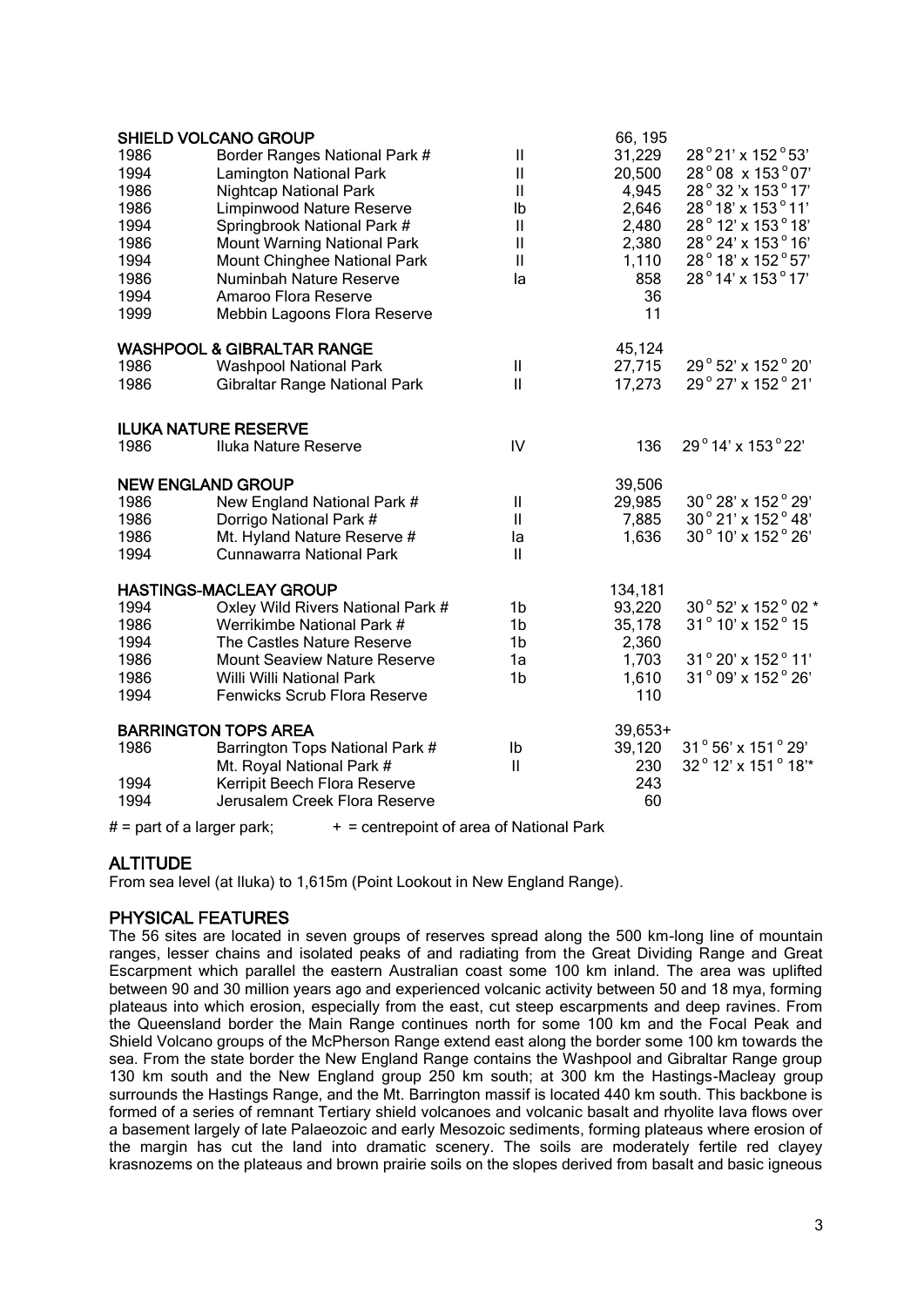| 1986<br>1994<br>1986<br>1986<br>1994<br>1986<br>1994<br>1986<br>1994<br>1999 | <b>SHIELD VOLCANO GROUP</b><br>Border Ranges National Park #<br><b>Lamington National Park</b><br><b>Nightcap National Park</b><br>Limpinwood Nature Reserve<br>Springbrook National Park #<br><b>Mount Warning National Park</b><br>Mount Chinghee National Park<br>Numinbah Nature Reserve<br>Amaroo Flora Reserve<br>Mebbin Lagoons Flora Reserve | Ш<br>Ш<br>$\mathsf{I}$<br>Ib<br>$\mathsf{I}$<br>$\mathsf{I}$<br>$\mathbf{I}$<br>la | 66, 195<br>31,229<br>20,500<br>4,945<br>2,646<br>2,480<br>2,380<br>1,110<br>858<br>36<br>11 | 28°21' x 152°53'<br>28° 08 x 153° 07'<br>28° 32'x 153° 17'<br>28°18' x 153°11'<br>28° 12' x 153° 18'<br>28° 24' x 153° 16'<br>28° 18' x 152° 57'<br>28°14' x 153°17' |
|------------------------------------------------------------------------------|------------------------------------------------------------------------------------------------------------------------------------------------------------------------------------------------------------------------------------------------------------------------------------------------------------------------------------------------------|------------------------------------------------------------------------------------|---------------------------------------------------------------------------------------------|----------------------------------------------------------------------------------------------------------------------------------------------------------------------|
|                                                                              | <b>WASHPOOL &amp; GIBRALTAR RANGE</b>                                                                                                                                                                                                                                                                                                                |                                                                                    | 45,124                                                                                      |                                                                                                                                                                      |
| 1986                                                                         | <b>Washpool National Park</b>                                                                                                                                                                                                                                                                                                                        | Ш                                                                                  | 27,715                                                                                      | 29° 52' x 152° 20'                                                                                                                                                   |
| 1986                                                                         | Gibraltar Range National Park                                                                                                                                                                                                                                                                                                                        | $\mathbf{II}$                                                                      | 17,273                                                                                      | 29° 27' x 152° 21'                                                                                                                                                   |
|                                                                              | <b>ILUKA NATURE RESERVE</b>                                                                                                                                                                                                                                                                                                                          |                                                                                    |                                                                                             |                                                                                                                                                                      |
| 1986                                                                         | Iluka Nature Reserve                                                                                                                                                                                                                                                                                                                                 | ${\sf IV}$                                                                         | 136                                                                                         | 29°14' x 153°22'                                                                                                                                                     |
| <b>NEW ENGLAND GROUP</b>                                                     |                                                                                                                                                                                                                                                                                                                                                      |                                                                                    | 39,506                                                                                      |                                                                                                                                                                      |
| 1986                                                                         | New England National Park #                                                                                                                                                                                                                                                                                                                          | Ш                                                                                  | 29,985                                                                                      | 30° 28' x 152° 29'                                                                                                                                                   |
| 1986                                                                         | Dorrigo National Park #                                                                                                                                                                                                                                                                                                                              | Ш                                                                                  | 7,885                                                                                       | $30°$ 21' x 152 $°$ 48'                                                                                                                                              |
| 1986                                                                         | Mt. Hyland Nature Reserve #                                                                                                                                                                                                                                                                                                                          | la                                                                                 | 1,636                                                                                       | 30° 10' x 152° 26'                                                                                                                                                   |
| 1994                                                                         | <b>Cunnawarra National Park</b>                                                                                                                                                                                                                                                                                                                      | $\mathsf{I}$                                                                       |                                                                                             |                                                                                                                                                                      |
|                                                                              | <b>HASTINGS-MACLEAY GROUP</b>                                                                                                                                                                                                                                                                                                                        |                                                                                    | 134,181                                                                                     |                                                                                                                                                                      |
| 1994                                                                         | Oxley Wild Rivers National Park #                                                                                                                                                                                                                                                                                                                    | 1b                                                                                 | 93,220                                                                                      | 30° 52' x 152° 02 *                                                                                                                                                  |
| 1986                                                                         | Werrikimbe National Park #                                                                                                                                                                                                                                                                                                                           | 1b                                                                                 | 35,178                                                                                      | 31° 10' x 152° 15                                                                                                                                                    |
| 1994                                                                         | The Castles Nature Reserve                                                                                                                                                                                                                                                                                                                           | 1b                                                                                 | 2,360                                                                                       |                                                                                                                                                                      |
| 1986                                                                         | <b>Mount Seaview Nature Reserve</b>                                                                                                                                                                                                                                                                                                                  | 1a                                                                                 | 1,703                                                                                       | 31° 20' x 152° 11'                                                                                                                                                   |
| 1986                                                                         | Willi Willi National Park                                                                                                                                                                                                                                                                                                                            | 1b                                                                                 | 1,610                                                                                       | 31° 09' x 152° 26'                                                                                                                                                   |
| 1994                                                                         | Fenwicks Scrub Flora Reserve                                                                                                                                                                                                                                                                                                                         |                                                                                    | 110                                                                                         |                                                                                                                                                                      |
|                                                                              | <b>BARRINGTON TOPS AREA</b>                                                                                                                                                                                                                                                                                                                          |                                                                                    | $39,653+$                                                                                   |                                                                                                                                                                      |
| 1986                                                                         | Barrington Tops National Park #                                                                                                                                                                                                                                                                                                                      | Ib                                                                                 | 39,120                                                                                      | 31° 56' x 151° 29'                                                                                                                                                   |
|                                                                              | Mt. Royal National Park #                                                                                                                                                                                                                                                                                                                            | $\mathbf{I}$                                                                       | 230                                                                                         | 32° 12' x 151° 18"*                                                                                                                                                  |
| 1994                                                                         | Kerripit Beech Flora Reserve                                                                                                                                                                                                                                                                                                                         |                                                                                    | 243                                                                                         |                                                                                                                                                                      |
| 1994                                                                         | Jerusalem Creek Flora Reserve                                                                                                                                                                                                                                                                                                                        |                                                                                    | 60                                                                                          |                                                                                                                                                                      |

 $#$  = part of a larger park:  $+$  = centrepoint of area of National Park

# **ALTITUDE**

From sea level (at Iluka) to 1,615m (Point Lookout in New England Range).

# PHYSICAL FEATURES

The 56 sites are located in seven groups of reserves spread along the 500 km-long line of mountain ranges, lesser chains and isolated peaks of and radiating from the Great Dividing Range and Great Escarpment which parallel the eastern Australian coast some 100 km inland. The area was uplifted between 90 and 30 million years ago and experienced volcanic activity between 50 and 18 mya, forming plateaus into which erosion, especially from the east, cut steep escarpments and deep ravines. From the Queensland border the Main Range continues north for some 100 km and the Focal Peak and Shield Volcano groups of the McPherson Range extend east along the border some 100 km towards the sea. From the state border the New England Range contains the Washpool and Gibraltar Range group 130 km south and the New England group 250 km south; at 300 km the Hastings-Macleay group surrounds the Hastings Range, and the Mt. Barrington massif is located 440 km south. This backbone is formed of a series of remnant Tertiary shield volcanoes and volcanic basalt and rhyolite lava flows over a basement largely of late Palaeozoic and early Mesozoic sediments, forming plateaus where erosion of the margin has cut the land into dramatic scenery. The soils are moderately fertile red clayey krasnozems on the plateaus and brown prairie soils on the slopes derived from basalt and basic igneous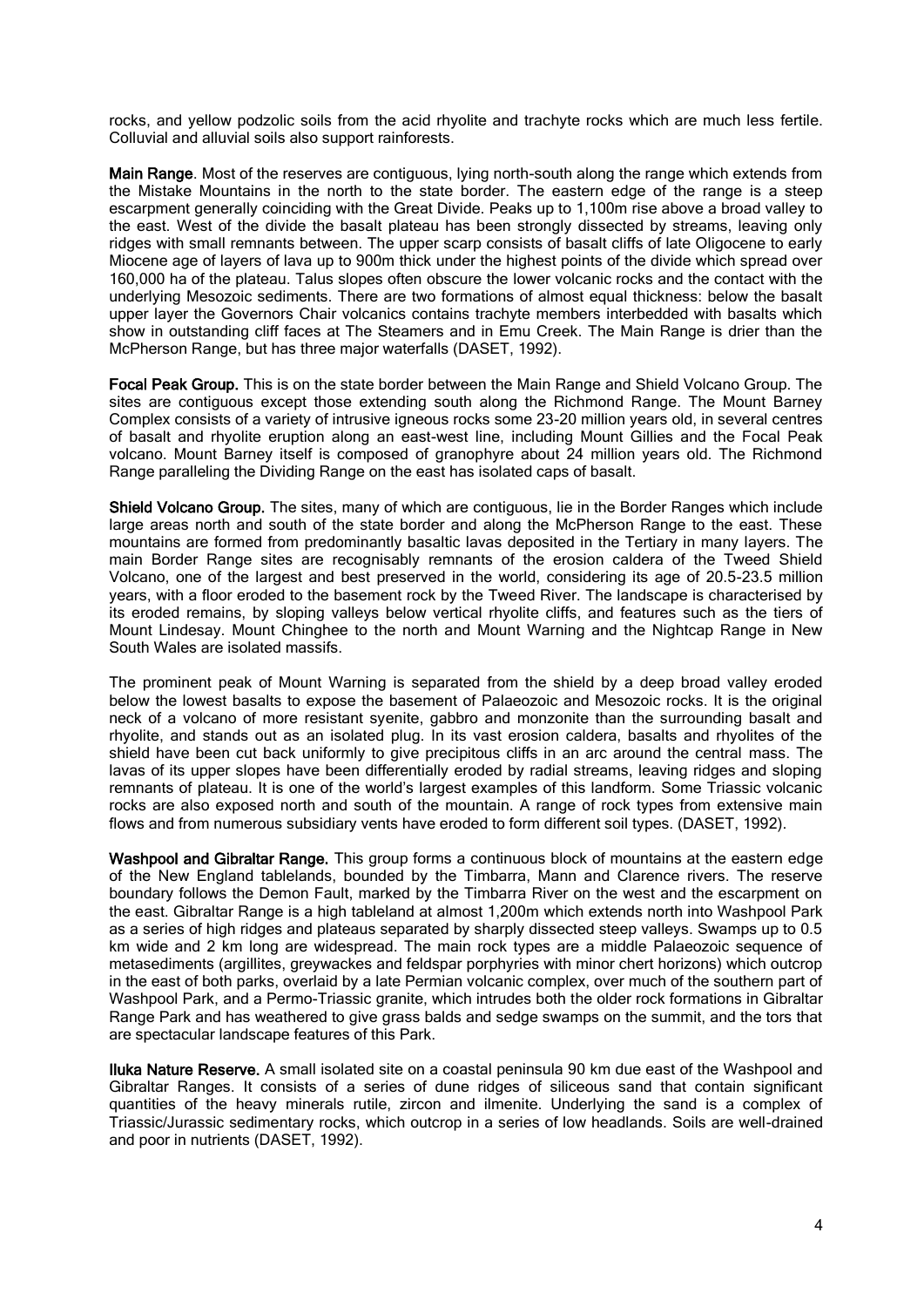rocks, and yellow podzolic soils from the acid rhyolite and trachyte rocks which are much less fertile. Colluvial and alluvial soils also support rainforests.

Main Range. Most of the reserves are contiguous, lying north-south along the range which extends from the Mistake Mountains in the north to the state border. The eastern edge of the range is a steep escarpment generally coinciding with the Great Divide. Peaks up to 1,100m rise above a broad valley to the east. West of the divide the basalt plateau has been strongly dissected by streams, leaving only ridges with small remnants between. The upper scarp consists of basalt cliffs of late Oligocene to early Miocene age of layers of lava up to 900m thick under the highest points of the divide which spread over 160,000 ha of the plateau. Talus slopes often obscure the lower volcanic rocks and the contact with the underlying Mesozoic sediments. There are two formations of almost equal thickness: below the basalt upper layer the Governors Chair volcanics contains trachyte members interbedded with basalts which show in outstanding cliff faces at The Steamers and in Emu Creek. The Main Range is drier than the McPherson Range, but has three major waterfalls (DASET, 1992).

Focal Peak Group. This is on the state border between the Main Range and Shield Volcano Group. The sites are contiguous except those extending south along the Richmond Range. The Mount Barney Complex consists of a variety of intrusive igneous rocks some 23-20 million years old, in several centres of basalt and rhyolite eruption along an east-west line, including Mount Gillies and the Focal Peak volcano. Mount Barney itself is composed of granophyre about 24 million years old. The Richmond Range paralleling the Dividing Range on the east has isolated caps of basalt.

Shield Volcano Group. The sites, many of which are contiguous, lie in the Border Ranges which include large areas north and south of the state border and along the McPherson Range to the east. These mountains are formed from predominantly basaltic lavas deposited in the Tertiary in many layers. The main Border Range sites are recognisably remnants of the erosion caldera of the Tweed Shield Volcano, one of the largest and best preserved in the world, considering its age of 20.5-23.5 million years, with a floor eroded to the basement rock by the Tweed River. The landscape is characterised by its eroded remains, by sloping valleys below vertical rhyolite cliffs, and features such as the tiers of Mount Lindesay. Mount Chinghee to the north and Mount Warning and the Nightcap Range in New South Wales are isolated massifs.

The prominent peak of Mount Warning is separated from the shield by a deep broad valley eroded below the lowest basalts to expose the basement of Palaeozoic and Mesozoic rocks. It is the original neck of a volcano of more resistant syenite, gabbro and monzonite than the surrounding basalt and rhyolite, and stands out as an isolated plug. In its vast erosion caldera, basalts and rhyolites of the shield have been cut back uniformly to give precipitous cliffs in an arc around the central mass. The lavas of its upper slopes have been differentially eroded by radial streams, leaving ridges and sloping remnants of plateau. It is one of the world's largest examples of this landform. Some Triassic volcanic rocks are also exposed north and south of the mountain. A range of rock types from extensive main flows and from numerous subsidiary vents have eroded to form different soil types. (DASET, 1992).

Washpool and Gibraltar Range. This group forms a continuous block of mountains at the eastern edge of the New England tablelands, bounded by the Timbarra, Mann and Clarence rivers. The reserve boundary follows the Demon Fault, marked by the Timbarra River on the west and the escarpment on the east. Gibraltar Range is a high tableland at almost 1,200m which extends north into Washpool Park as a series of high ridges and plateaus separated by sharply dissected steep valleys. Swamps up to 0.5 km wide and 2 km long are widespread. The main rock types are a middle Palaeozoic sequence of metasediments (argillites, greywackes and feldspar porphyries with minor chert horizons) which outcrop in the east of both parks, overlaid by a late Permian volcanic complex, over much of the southern part of Washpool Park, and a Permo-Triassic granite, which intrudes both the older rock formations in Gibraltar Range Park and has weathered to give grass balds and sedge swamps on the summit, and the tors that are spectacular landscape features of this Park.

Iluka Nature Reserve. A small isolated site on a coastal peninsula 90 km due east of the Washpool and Gibraltar Ranges. It consists of a series of dune ridges of siliceous sand that contain significant quantities of the heavy minerals rutile, zircon and ilmenite. Underlying the sand is a complex of Triassic/Jurassic sedimentary rocks, which outcrop in a series of low headlands. Soils are well-drained and poor in nutrients (DASET, 1992).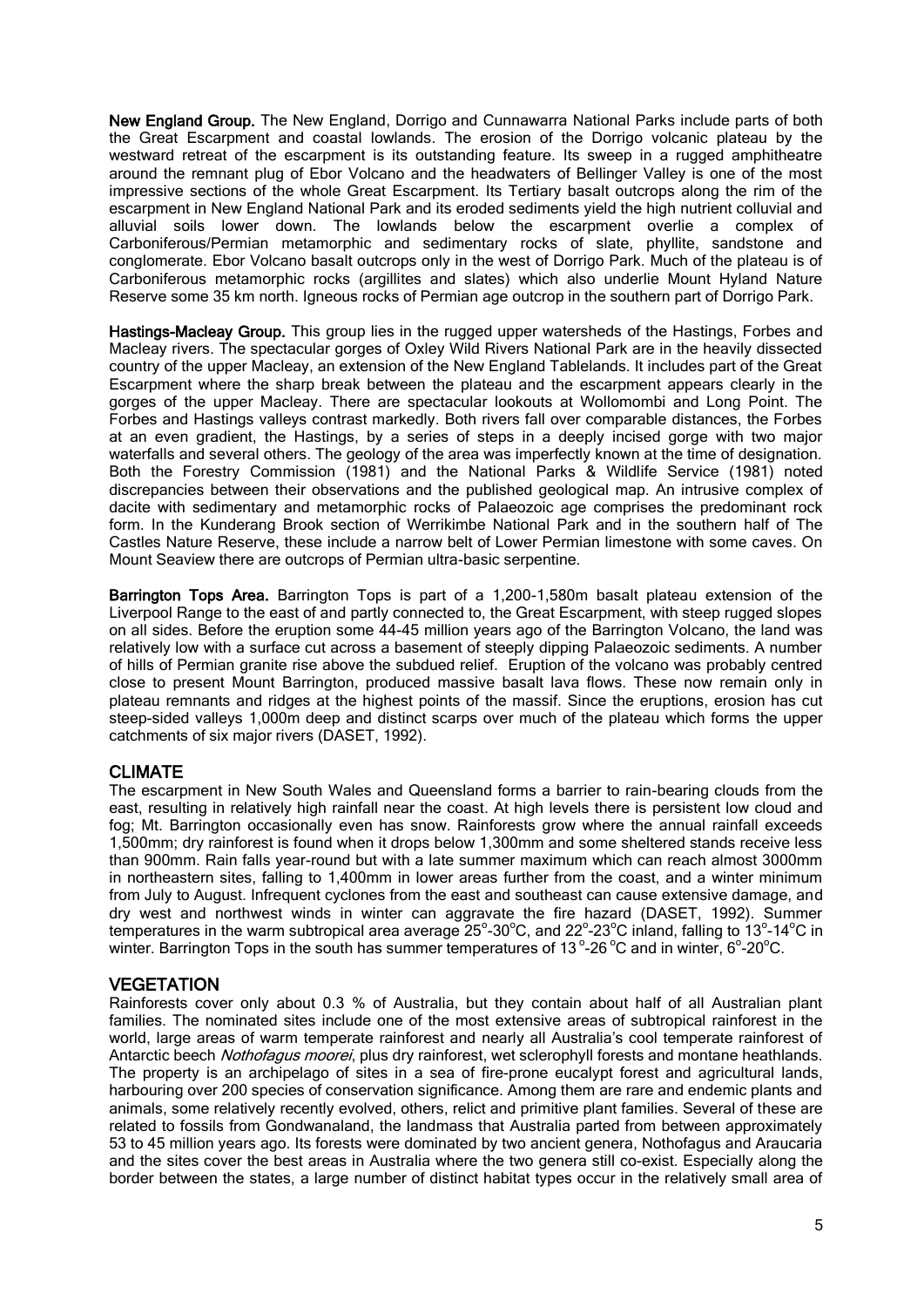New England Group. The New England, Dorrigo and Cunnawarra National Parks include parts of both the Great Escarpment and coastal lowlands. The erosion of the Dorrigo volcanic plateau by the westward retreat of the escarpment is its outstanding feature. Its sweep in a rugged amphitheatre around the remnant plug of Ebor Volcano and the headwaters of Bellinger Valley is one of the most impressive sections of the whole Great Escarpment. Its Tertiary basalt outcrops along the rim of the escarpment in New England National Park and its eroded sediments yield the high nutrient colluvial and alluvial soils lower down. The lowlands below the escarpment overlie a complex of Carboniferous/Permian metamorphic and sedimentary rocks of slate, phyllite, sandstone and conglomerate. Ebor Volcano basalt outcrops only in the west of Dorrigo Park. Much of the plateau is of Carboniferous metamorphic rocks (argillites and slates) which also underlie Mount Hyland Nature Reserve some 35 km north. Igneous rocks of Permian age outcrop in the southern part of Dorrigo Park.

Hastings-Macleay Group. This group lies in the rugged upper watersheds of the Hastings, Forbes and Macleay rivers. The spectacular gorges of Oxley Wild Rivers National Park are in the heavily dissected country of the upper Macleay, an extension of the New England Tablelands. It includes part of the Great Escarpment where the sharp break between the plateau and the escarpment appears clearly in the gorges of the upper Macleay. There are spectacular lookouts at Wollomombi and Long Point. The Forbes and Hastings valleys contrast markedly. Both rivers fall over comparable distances, the Forbes at an even gradient, the Hastings, by a series of steps in a deeply incised gorge with two major waterfalls and several others. The geology of the area was imperfectly known at the time of designation. Both the Forestry Commission (1981) and the National Parks & Wildlife Service (1981) noted discrepancies between their observations and the published geological map. An intrusive complex of dacite with sedimentary and metamorphic rocks of Palaeozoic age comprises the predominant rock form. In the Kunderang Brook section of Werrikimbe National Park and in the southern half of The Castles Nature Reserve, these include a narrow belt of Lower Permian limestone with some caves. On Mount Seaview there are outcrops of Permian ultra-basic serpentine.

Barrington Tops Area. Barrington Tops is part of a 1,200-1,580m basalt plateau extension of the Liverpool Range to the east of and partly connected to, the Great Escarpment, with steep rugged slopes on all sides. Before the eruption some 44-45 million years ago of the Barrington Volcano, the land was relatively low with a surface cut across a basement of steeply dipping Palaeozoic sediments. A number of hills of Permian granite rise above the subdued relief. Eruption of the volcano was probably centred close to present Mount Barrington, produced massive basalt lava flows. These now remain only in plateau remnants and ridges at the highest points of the massif. Since the eruptions, erosion has cut steep-sided valleys 1,000m deep and distinct scarps over much of the plateau which forms the upper catchments of six major rivers (DASET, 1992).

## CLIMATE

The escarpment in New South Wales and Queensland forms a barrier to rain-bearing clouds from the east, resulting in relatively high rainfall near the coast. At high levels there is persistent low cloud and fog; Mt. Barrington occasionally even has snow. Rainforests grow where the annual rainfall exceeds 1,500mm; dry rainforest is found when it drops below 1,300mm and some sheltered stands receive less than 900mm. Rain falls year-round but with a late summer maximum which can reach almost 3000mm in northeastern sites, falling to 1,400mm in lower areas further from the coast, and a winter minimum from July to August. Infrequent cyclones from the east and southeast can cause extensive damage, and dry west and northwest winds in winter can aggravate the fire hazard (DASET, 1992). Summer temperatures in the warm subtropical area average 25°-30°C, and 22°-23°C inland, falling to 13°-14°C in winter. Barrington Tops in the south has summer temperatures of 13°-26 °C and in winter, 6°-20°C.

## **VEGETATION**

Rainforests cover only about 0.3 % of Australia, but they contain about half of all Australian plant families. The nominated sites include one of the most extensive areas of subtropical rainforest in the world, large areas of warm temperate rainforest and nearly all Australia's cool temperate rainforest of Antarctic beech Nothofagus moorei, plus dry rainforest, wet sclerophyll forests and montane heathlands. The property is an archipelago of sites in a sea of fire-prone eucalypt forest and agricultural lands, harbouring over 200 species of conservation significance. Among them are rare and endemic plants and animals, some relatively recently evolved, others, relict and primitive plant families. Several of these are related to fossils from Gondwanaland, the landmass that Australia parted from between approximately 53 to 45 million years ago. Its forests were dominated by two ancient genera, Nothofagus and Araucaria and the sites cover the best areas in Australia where the two genera still co-exist. Especially along the border between the states, a large number of distinct habitat types occur in the relatively small area of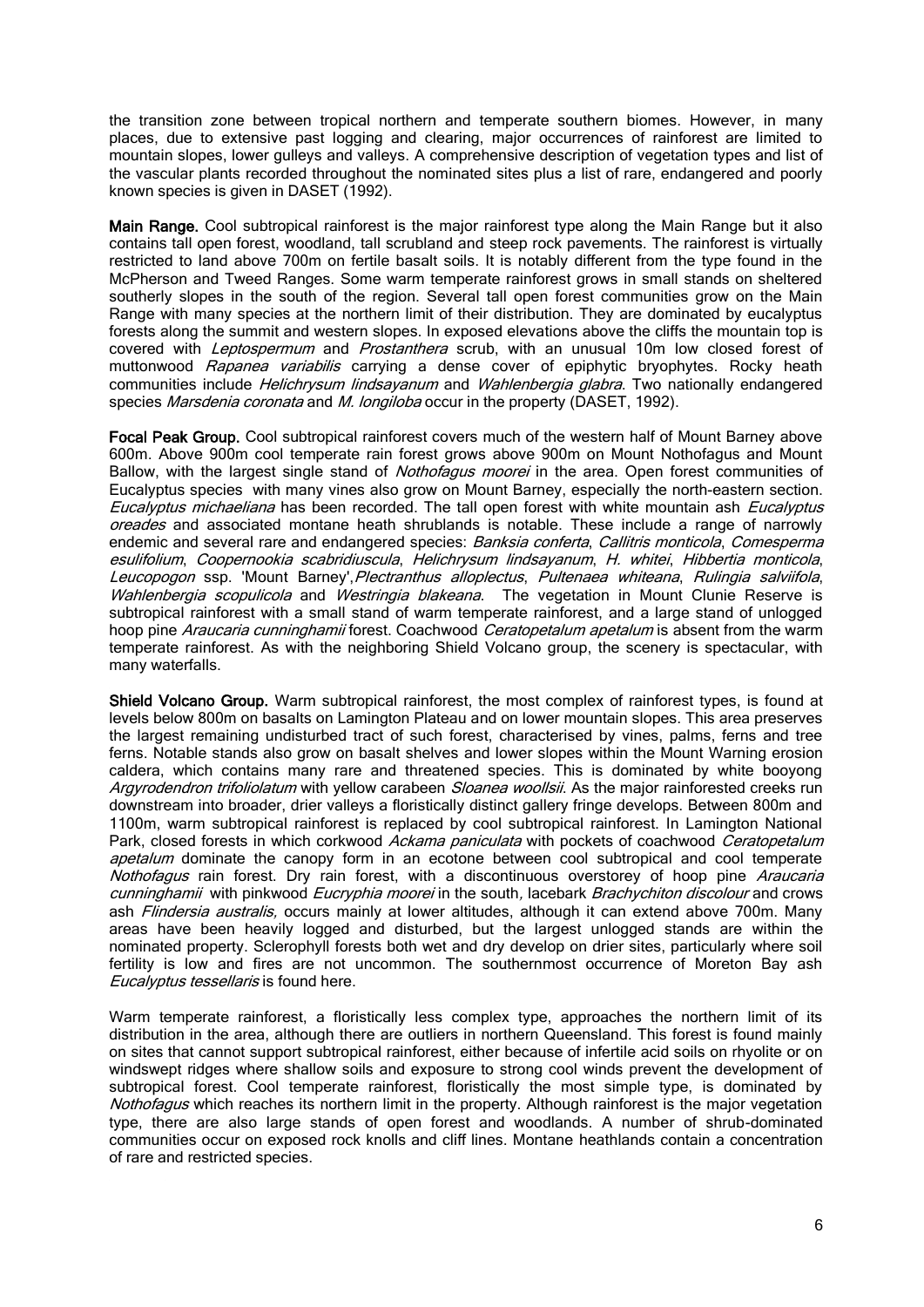the transition zone between tropical northern and temperate southern biomes. However, in many places, due to extensive past logging and clearing, major occurrences of rainforest are limited to mountain slopes, lower gulleys and valleys. A comprehensive description of vegetation types and list of the vascular plants recorded throughout the nominated sites plus a list of rare, endangered and poorly known species is given in DASET (1992).

Main Range. Cool subtropical rainforest is the major rainforest type along the Main Range but it also contains tall open forest, woodland, tall scrubland and steep rock pavements. The rainforest is virtually restricted to land above 700m on fertile basalt soils. It is notably different from the type found in the McPherson and Tweed Ranges. Some warm temperate rainforest grows in small stands on sheltered southerly slopes in the south of the region. Several tall open forest communities grow on the Main Range with many species at the northern limit of their distribution. They are dominated by eucalyptus forests along the summit and western slopes. In exposed elevations above the cliffs the mountain top is covered with Leptospermum and Prostanthera scrub, with an unusual 10m low closed forest of muttonwood Rapanea variabilis carrying a dense cover of epiphytic bryophytes. Rocky heath communities include Helichrysum lindsayanum and Wahlenbergia glabra. Two nationally endangered species *Marsdenia coronata* and *M. longiloba* occur in the property (DASET, 1992).

Focal Peak Group. Cool subtropical rainforest covers much of the western half of Mount Barney above 600m. Above 900m cool temperate rain forest grows above 900m on Mount Nothofagus and Mount Ballow, with the largest single stand of *Nothofagus moorei* in the area. Open forest communities of Eucalyptus species with many vines also grow on Mount Barney, especially the north-eastern section. Eucalyptus michaeliana has been recorded. The tall open forest with white mountain ash Eucalyptus oreades and associated montane heath shrublands is notable. These include a range of narrowly endemic and several rare and endangered species: Banksia conferta, Callitris monticola, Comesperma esulifolium, Coopernookia scabridiuscula, Helichrysum lindsayanum, H. whitei, Hibbertia monticola, Leucopogon ssp. 'Mount Barney', Plectranthus alloplectus, Pultenaea whiteana, Rulingia salviifola, Wahlenbergia scopulicola and Westringia blakeana. The vegetation in Mount Clunie Reserve is subtropical rainforest with a small stand of warm temperate rainforest, and a large stand of unlogged hoop pine Araucaria cunninghamii forest. Coachwood Ceratopetalum apetalum is absent from the warm temperate rainforest. As with the neighboring Shield Volcano group, the scenery is spectacular, with many waterfalls.

Shield Volcano Group. Warm subtropical rainforest, the most complex of rainforest types, is found at levels below 800m on basalts on Lamington Plateau and on lower mountain slopes. This area preserves the largest remaining undisturbed tract of such forest, characterised by vines, palms, ferns and tree ferns. Notable stands also grow on basalt shelves and lower slopes within the Mount Warning erosion caldera, which contains many rare and threatened species. This is dominated by white booyong Argyrodendron trifoliolatum with yellow carabeen Sloanea woollsii. As the major rainforested creeks run downstream into broader, drier valleys a floristically distinct gallery fringe develops. Between 800m and 1100m, warm subtropical rainforest is replaced by cool subtropical rainforest. In Lamington National Park, closed forests in which corkwood Ackama paniculata with pockets of coachwood Ceratopetalum apetalum dominate the canopy form in an ecotone between cool subtropical and cool temperate Nothofagus rain forest. Dry rain forest, with a discontinuous overstorey of hoop pine Araucaria cunninghamii with pinkwood Eucryphia moorei in the south, lacebark Brachychiton discolour and crows ash Flindersia australis, occurs mainly at lower altitudes, although it can extend above 700m. Many areas have been heavily logged and disturbed, but the largest unlogged stands are within the nominated property. Sclerophyll forests both wet and dry develop on drier sites, particularly where soil fertility is low and fires are not uncommon. The southernmost occurrence of Moreton Bay ash Eucalyptus tessellaris is found here.

Warm temperate rainforest, a floristically less complex type, approaches the northern limit of its distribution in the area, although there are outliers in northern Queensland. This forest is found mainly on sites that cannot support subtropical rainforest, either because of infertile acid soils on rhyolite or on windswept ridges where shallow soils and exposure to strong cool winds prevent the development of subtropical forest. Cool temperate rainforest, floristically the most simple type, is dominated by Nothofagus which reaches its northern limit in the property. Although rainforest is the major vegetation type, there are also large stands of open forest and woodlands. A number of shrub-dominated communities occur on exposed rock knolls and cliff lines. Montane heathlands contain a concentration of rare and restricted species.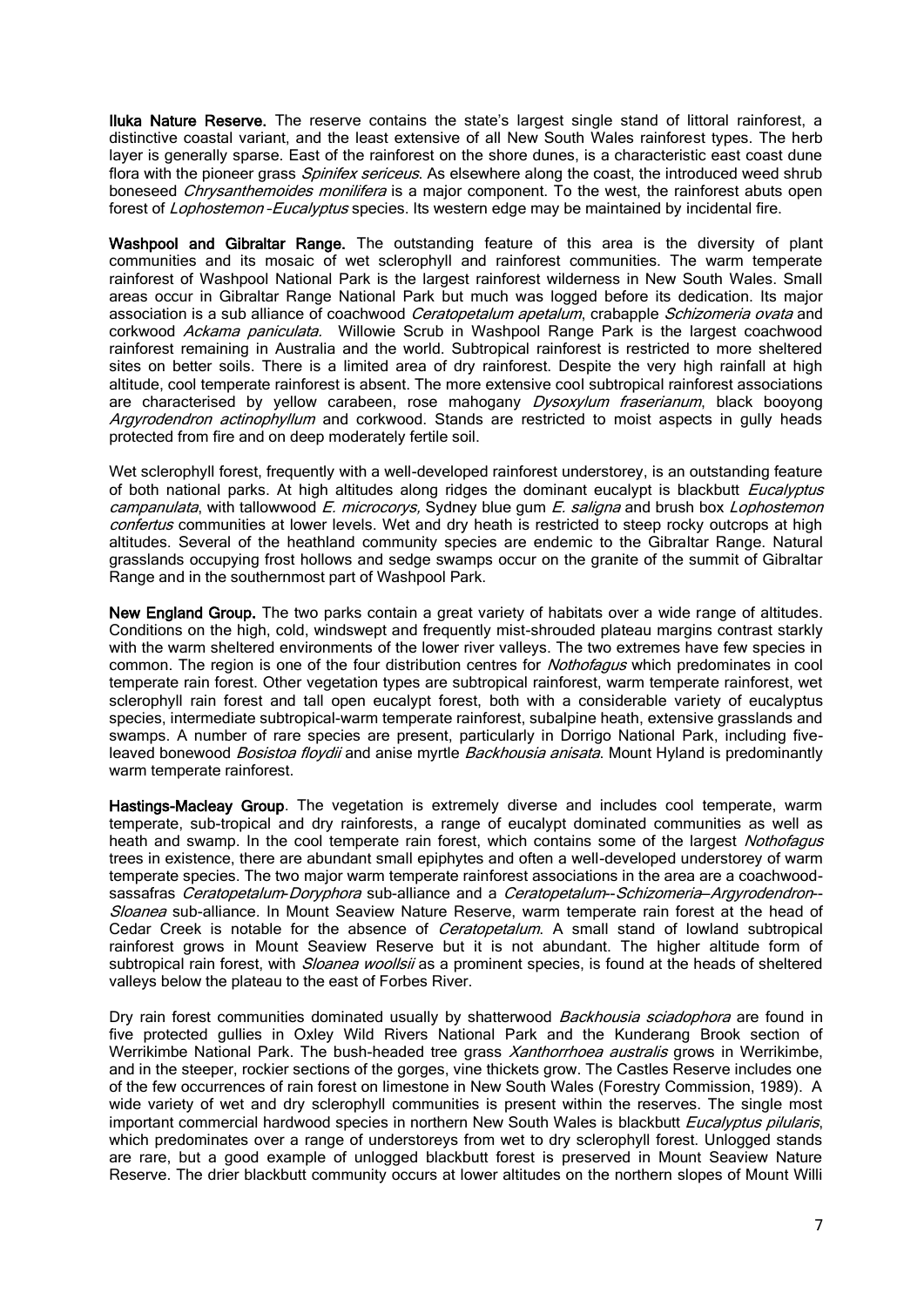Iluka Nature Reserve. The reserve contains the state's largest single stand of littoral rainforest, a distinctive coastal variant, and the least extensive of all New South Wales rainforest types. The herb layer is generally sparse. East of the rainforest on the shore dunes, is a characteristic east coast dune flora with the pioneer grass *Spinifex sericeus*. As elsewhere along the coast, the introduced weed shrub boneseed *Chrysanthemoides monilifera* is a major component. To the west, the rainforest abuts open forest of *Lophostemon - Eucalyptus* species. Its western edge may be maintained by incidental fire.

Washpool and Gibraltar Range. The outstanding feature of this area is the diversity of plant communities and its mosaic of wet sclerophyll and rainforest communities. The warm temperate rainforest of Washpool National Park is the largest rainforest wilderness in New South Wales. Small areas occur in Gibraltar Range National Park but much was logged before its dedication. Its major association is a sub alliance of coachwood *Ceratopetalum apetalum*, crabapple *Schizomeria ovata* and corkwood Ackama paniculata. Willowie Scrub in Washpool Range Park is the largest coachwood rainforest remaining in Australia and the world. Subtropical rainforest is restricted to more sheltered sites on better soils. There is a limited area of dry rainforest. Despite the very high rainfall at high altitude, cool temperate rainforest is absent. The more extensive cool subtropical rainforest associations are characterised by yellow carabeen, rose mahogany *Dysoxylum fraserianum*, black booyong Argyrodendron actinophyllum and corkwood. Stands are restricted to moist aspects in gully heads protected from fire and on deep moderately fertile soil.

Wet sclerophyll forest, frequently with a well-developed rainforest understorey, is an outstanding feature of both national parks. At high altitudes along ridges the dominant eucalypt is blackbutt Eucalyptus campanulata, with tallowwood  $E$ . microcorys, Sydney blue gum  $E$ . saligna and brush box Lophostemon confertus communities at lower levels. Wet and dry heath is restricted to steep rocky outcrops at high altitudes. Several of the heathland community species are endemic to the Gibraltar Range. Natural grasslands occupying frost hollows and sedge swamps occur on the granite of the summit of Gibraltar Range and in the southernmost part of Washpool Park.

New England Group. The two parks contain a great variety of habitats over a wide range of altitudes. Conditions on the high, cold, windswept and frequently mist-shrouded plateau margins contrast starkly with the warm sheltered environments of the lower river valleys. The two extremes have few species in common. The region is one of the four distribution centres for *Nothofagus* which predominates in cool temperate rain forest. Other vegetation types are subtropical rainforest, warm temperate rainforest, wet sclerophyll rain forest and tall open eucalypt forest, both with a considerable variety of eucalyptus species, intermediate subtropical-warm temperate rainforest, subalpine heath, extensive grasslands and swamps. A number of rare species are present, particularly in Dorrigo National Park, including fiveleaved bonewood *Bosistoa floydii* and anise myrtle *Backhousia anisata*. Mount Hyland is predominantly warm temperate rainforest.

Hastings-Macleay Group. The vegetation is extremely diverse and includes cool temperate, warm temperate, sub-tropical and dry rainforests, a range of eucalypt dominated communities as well as heath and swamp. In the cool temperate rain forest, which contains some of the largest *Nothofagus* trees in existence, there are abundant small epiphytes and often a well-developed understorey of warm temperate species. The two major warm temperate rainforest associations in the area are a coachwoodsassafras Ceratopetalum-Doryphora sub-alliance and a Ceratopetalum--Schizomeria-Argyrodendron--Sloanea sub-alliance. In Mount Seaview Nature Reserve, warm temperate rain forest at the head of Cedar Creek is notable for the absence of *Ceratopetalum*. A small stand of lowland subtropical rainforest grows in Mount Seaview Reserve but it is not abundant. The higher altitude form of subtropical rain forest, with *Sloanea woollsii* as a prominent species, is found at the heads of sheltered valleys below the plateau to the east of Forbes River.

Dry rain forest communities dominated usually by shatterwood *Backhousia sciadophora* are found in five protected gullies in Oxley Wild Rivers National Park and the Kunderang Brook section of Werrikimbe National Park. The bush-headed tree grass Xanthorrhoea australis grows in Werrikimbe, and in the steeper, rockier sections of the gorges, vine thickets grow. The Castles Reserve includes one of the few occurrences of rain forest on limestone in New South Wales (Forestry Commission, 1989). A wide variety of wet and dry sclerophyll communities is present within the reserves. The single most important commercial hardwood species in northern New South Wales is blackbutt Eucalyptus pilularis, which predominates over a range of understoreys from wet to dry sclerophyll forest. Unlogged stands are rare, but a good example of unlogged blackbutt forest is preserved in Mount Seaview Nature Reserve. The drier blackbutt community occurs at lower altitudes on the northern slopes of Mount Willi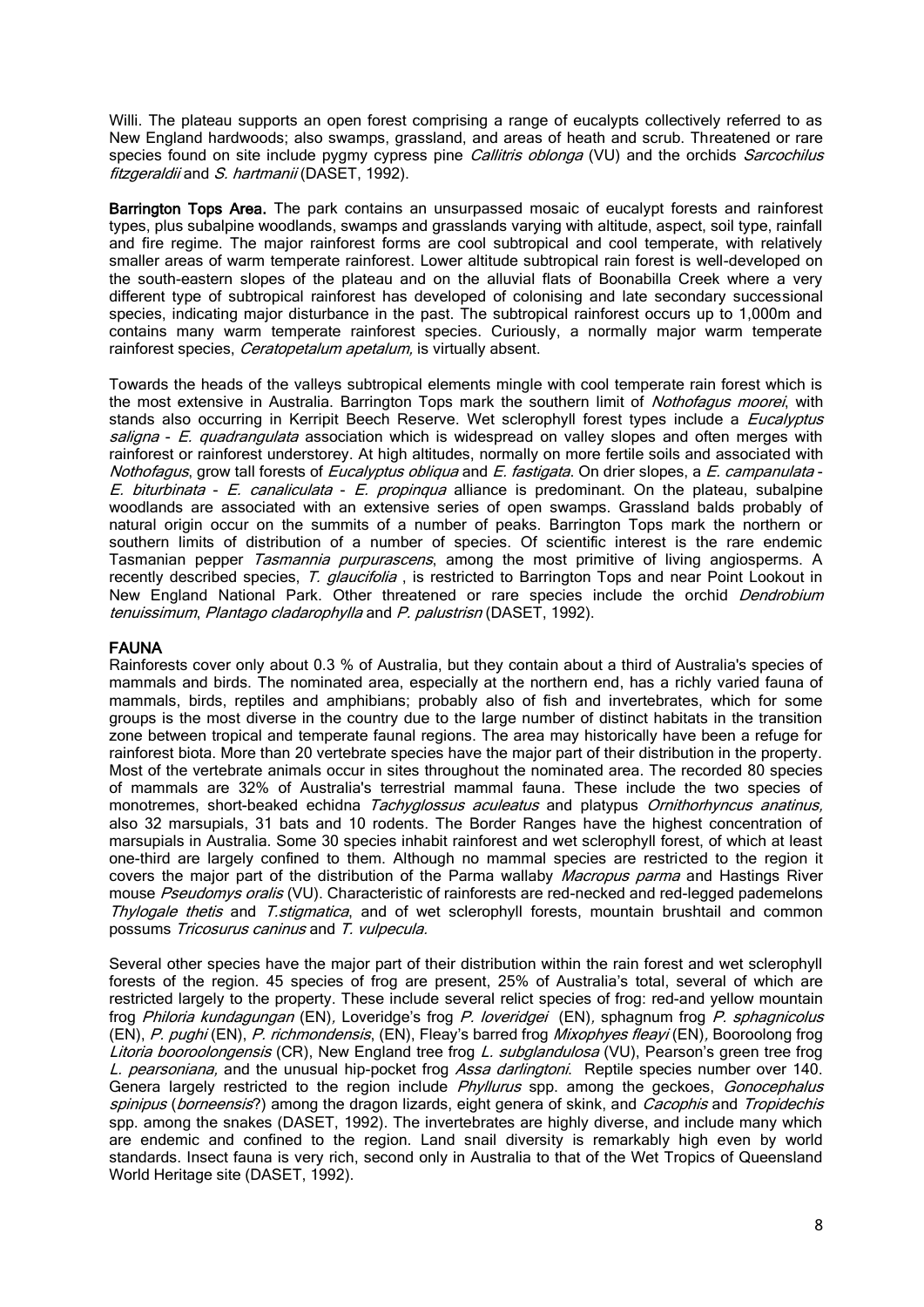Willi. The plateau supports an open forest comprising a range of eucalypts collectively referred to as New England hardwoods; also swamps, grassland, and areas of heath and scrub. Threatened or rare species found on site include pygmy cypress pine *Callitris oblonga* (VU) and the orchids *Sarcochilus* fitzgeraldii and S. hartmanii (DASET, 1992).

Barrington Tops Area. The park contains an unsurpassed mosaic of eucalypt forests and rainforest types, plus subalpine woodlands, swamps and grasslands varying with altitude, aspect, soil type, rainfall and fire regime. The major rainforest forms are cool subtropical and cool temperate, with relatively smaller areas of warm temperate rainforest. Lower altitude subtropical rain forest is well-developed on the south-eastern slopes of the plateau and on the alluvial flats of Boonabilla Creek where a very different type of subtropical rainforest has developed of colonising and late secondary successional species, indicating major disturbance in the past. The subtropical rainforest occurs up to 1,000m and contains many warm temperate rainforest species. Curiously, a normally major warm temperate rainforest species, *Ceratopetalum apetalum*, is virtually absent.

Towards the heads of the valleys subtropical elements mingle with cool temperate rain forest which is the most extensive in Australia. Barrington Tops mark the southern limit of Nothofagus moorei, with stands also occurring in Kerripit Beech Reserve. Wet sclerophyll forest types include a *Eucalyptus* saligna - E. quadrangulata association which is widespread on valley slopes and often merges with rainforest or rainforest understorey. At high altitudes, normally on more fertile soils and associated with Nothofagus, grow tall forests of Eucalyptus obliqua and E. fastigata. On drier slopes, a E. campanulata -E. biturbinata - E. canaliculata - E. propingua alliance is predominant. On the plateau, subalpine woodlands are associated with an extensive series of open swamps. Grassland balds probably of natural origin occur on the summits of a number of peaks. Barrington Tops mark the northern or southern limits of distribution of a number of species. Of scientific interest is the rare endemic Tasmanian pepper Tasmannia purpurascens, among the most primitive of living angiosperms. A recently described species, T. glaucifolia, is restricted to Barrington Tops and near Point Lookout in New England National Park. Other threatened or rare species include the orchid Dendrobium tenuissimum, Plantago cladarophylla and P. palustrisn (DASET, 1992).

#### FAUNA

Rainforests cover only about 0.3 % of Australia, but they contain about a third of Australia's species of mammals and birds. The nominated area, especially at the northern end, has a richly varied fauna of mammals, birds, reptiles and amphibians; probably also of fish and invertebrates, which for some groups is the most diverse in the country due to the large number of distinct habitats in the transition zone between tropical and temperate faunal regions. The area may historically have been a refuge for rainforest biota. More than 20 vertebrate species have the major part of their distribution in the property. Most of the vertebrate animals occur in sites throughout the nominated area. The recorded 80 species of mammals are 32% of Australia's terrestrial mammal fauna. These include the two species of monotremes, short-beaked echidna Tachyglossus aculeatus and platypus Ornithorhyncus anatinus, also 32 marsupials, 31 bats and 10 rodents. The Border Ranges have the highest concentration of marsupials in Australia. Some 30 species inhabit rainforest and wet sclerophyll forest, of which at least one-third are largely confined to them. Although no mammal species are restricted to the region it covers the major part of the distribution of the Parma wallaby Macropus parma and Hastings River mouse Pseudomys oralis (VU). Characteristic of rainforests are red-necked and red-legged pademelons Thylogale thetis and T.stigmatica, and of wet sclerophyll forests, mountain brushtail and common possums Tricosurus caninus and T. vulpecula.

Several other species have the major part of their distribution within the rain forest and wet sclerophyll forests of the region. 45 species of frog are present, 25% of Australia's total, several of which are restricted largely to the property. These include several relict species of frog: red-and yellow mountain frog Philoria kundagungan (EN), Loveridge's frog P. loveridgei (EN), sphagnum frog [P. sphagnicolus](http://quin.unep-wcmc.org/isdb/Taxonomy/tax-gs-search2.cfm?GenName=Philoria&SpcName=sphagnicolus) (EN), P. pughi (EN), P. richmondensis, (EN), Fleay's barred frog [Mixophyes fleayi](http://quin.unep-wcmc.org/isdb/Taxonomy/tax-gs-search2.cfm?GenName=Mixophyes&SpcName=fleayi) (EN), Booroolong frog Litoria booroolongensis (CR), New England tree frog [L. subglandulosa](http://quin.unep-wcmc.org/isdb/Taxonomy/tax-gs-search2.cfm?GenName=Litoria&SpcName=subglandulosa) (VU), Pearson's green tree frog [L. pearsoniana,](http://quin.unep-wcmc.org/isdb/Taxonomy/tax-gs-search2.cfm?GenName=Litoria&SpcName=pearsoniana) and the unusual hip-pocket frog [Assa darlingtoni](http://quin.unep-wcmc.org/isdb/Taxonomy/tax-gs-search2.cfm?GenName=Assa&SpcName=darlingtoni). Reptile species number over 140. Genera largely restricted to the region include Phyllurus spp. among the geckoes, Gonocephalus spinipus (borneensis?) among the dragon lizards, eight genera of skink, and Cacophis and Tropidechis spp. among the snakes (DASET, 1992). The invertebrates are highly diverse, and include many which are endemic and confined to the region. Land snail diversity is remarkably high even by world standards. Insect fauna is very rich, second only in Australia to that of the Wet Tropics of Queensland World Heritage site (DASET, 1992).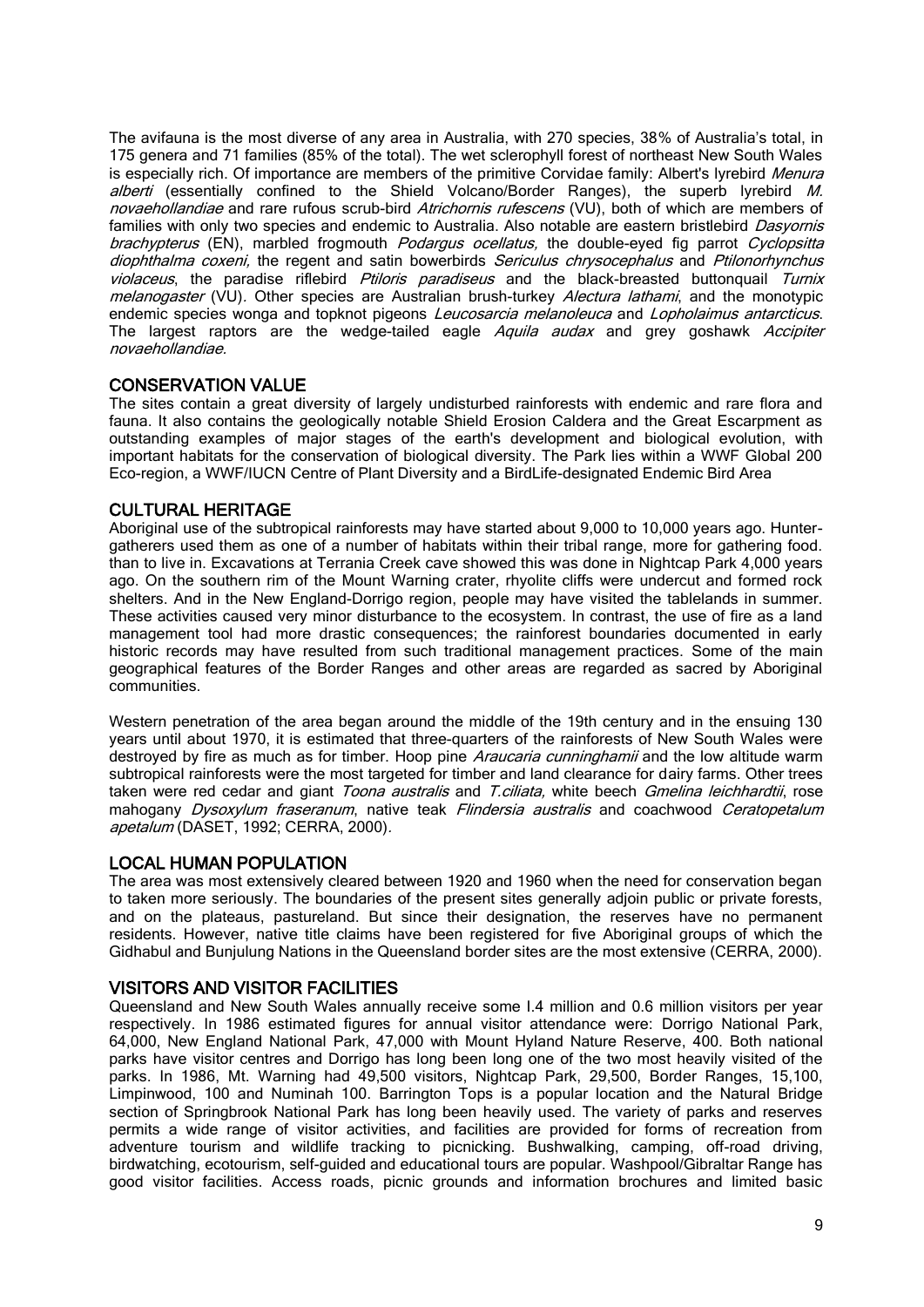The avifauna is the most diverse of any area in Australia, with 270 species, 38% of Australia's total, in 175 genera and 71 families (85% of the total). The wet sclerophyll forest of northeast New South Wales is especially rich. Of importance are members of the primitive Corvidae family: Albert's lyrebird Menura alberti (essentially confined to the Shield Volcano/Border Ranges), the superb lyrebird M. novaehollandiae and rare rufous scrub-bird [Atrichornis rufescens](http://quin.unep-wcmc.org/isdb/Taxonomy/tax-gs-search2.cfm?GenName=Atrichornis&SpcName=rufescens) (VU), both of which are members of families with only two species and endemic to Australia. Also notable are eastern bristlebird *Dasyornis* brachypterus (EN), marbled frogmouth *Podargus ocellatus*, the double-eyed fig parrot *Cyclopsitta* diophthalma coxeni, the regent and satin bowerbirds Sericulus chrysocephalus and Ptilonorhynchus violaceus, the paradise riflebird Ptiloris paradiseus and the black-breasted buttonquail Turnix melanogaster (VU). Other species are Australian brush-turkey Alectura lathami, and the monotypic endemic species wonga and topknot pigeons *Leucosarcia melanoleuca* and *Lopholaimus antarcticus*. The largest raptors are the wedge-tailed eagle Aquila audax and grey goshawk Accipiter novaehollandiae.

#### CONSERVATION VALUE

The sites contain a great diversity of largely undisturbed rainforests with endemic and rare flora and fauna. It also contains the geologically notable Shield Erosion Caldera and the Great Escarpment as outstanding examples of major stages of the earth's development and biological evolution, with important habitats for the conservation of biological diversity. The Park lies within a WWF Global 200 Eco-region, a WWF/IUCN Centre of Plant Diversity and a BirdLife-designated Endemic Bird Area

#### CULTURAL HERITAGE

Aboriginal use of the subtropical rainforests may have started about 9,000 to 10,000 years ago. Huntergatherers used them as one of a number of habitats within their tribal range, more for gathering food. than to live in. Excavations at Terrania Creek cave showed this was done in Nightcap Park 4,000 years ago. On the southern rim of the Mount Warning crater, rhyolite cliffs were undercut and formed rock shelters. And in the New England-Dorrigo region, people may have visited the tablelands in summer. These activities caused very minor disturbance to the ecosystem. In contrast, the use of fire as a land management tool had more drastic consequences; the rainforest boundaries documented in early historic records may have resulted from such traditional management practices. Some of the main geographical features of the Border Ranges and other areas are regarded as sacred by Aboriginal communities.

Western penetration of the area began around the middle of the 19th century and in the ensuing 130 years until about 1970, it is estimated that three-quarters of the rainforests of New South Wales were destroyed by fire as much as for timber. Hoop pine *Araucaria cunninghamii* and the low altitude warm subtropical rainforests were the most targeted for timber and land clearance for dairy farms. Other trees taken were red cedar and giant *Toona australis* and T.ciliata, white beech Gmelina leichhardtii, rose mahogany Dysoxylum fraseranum, native teak Flindersia australis and coachwood Ceratopetalum apetalum (DASET, 1992; CERRA, 2000).

#### LOCAL HUMAN POPULATION

The area was most extensively cleared between 1920 and 1960 when the need for conservation began to taken more seriously. The boundaries of the present sites generally adjoin public or private forests, and on the plateaus, pastureland. But since their designation, the reserves have no permanent residents. However, native title claims have been registered for five Aboriginal groups of which the Gidhabul and Bunjulung Nations in the Queensland border sites are the most extensive (CERRA, 2000).

#### VISITORS AND VISITOR FACILITIES

Queensland and New South Wales annually receive some I.4 million and 0.6 million visitors per year respectively. In 1986 estimated figures for annual visitor attendance were: Dorrigo National Park, 64,000, New England National Park, 47,000 with Mount Hyland Nature Reserve, 400. Both national parks have visitor centres and Dorrigo has long been long one of the two most heavily visited of the parks. In 1986, Mt. Warning had 49,500 visitors, Nightcap Park, 29,500, Border Ranges, 15,100, Limpinwood, 100 and Numinah 100. Barrington Tops is a popular location and the Natural Bridge section of Springbrook National Park has long been heavily used. The variety of parks and reserves permits a wide range of visitor activities, and facilities are provided for forms of recreation from adventure tourism and wildlife tracking to picnicking. Bushwalking, camping, off-road driving, birdwatching, ecotourism, self-guided and educational tours are popular. Washpool/Gibraltar Range has good visitor facilities. Access roads, picnic grounds and information brochures and limited basic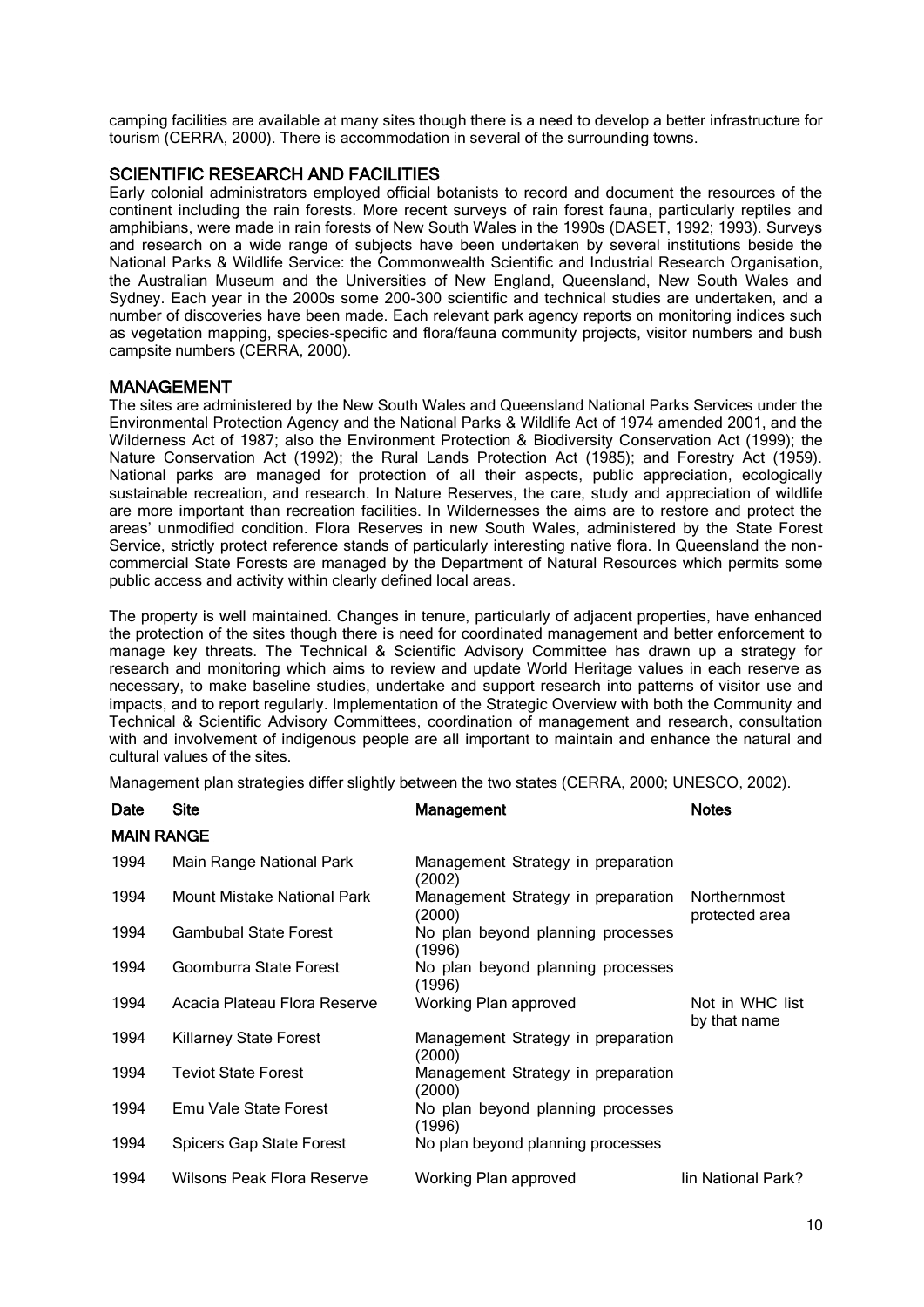camping facilities are available at many sites though there is a need to develop a better infrastructure for tourism (CERRA, 2000). There is accommodation in several of the surrounding towns.

#### SCIENTIFIC RESEARCH AND FACILITIES

Early colonial administrators employed official botanists to record and document the resources of the continent including the rain forests. More recent surveys of rain forest fauna, particularly reptiles and amphibians, were made in rain forests of New South Wales in the 1990s (DASET, 1992; 1993). Surveys and research on a wide range of subjects have been undertaken by several institutions beside the National Parks & Wildlife Service: the Commonwealth Scientific and Industrial Research Organisation, the Australian Museum and the Universities of New England, Queensland, New South Wales and Sydney. Each year in the 2000s some 200-300 scientific and technical studies are undertaken, and a number of discoveries have been made. Each relevant park agency reports on monitoring indices such as vegetation mapping, species-specific and flora/fauna community projects, visitor numbers and bush campsite numbers (CERRA, 2000).

#### MANAGEMENT

The sites are administered by the New South Wales and Queensland National Parks Services under the Environmental Protection Agency and the National Parks & Wildlife Act of 1974 amended 2001, and the Wilderness Act of 1987; also the Environment Protection & Biodiversity Conservation Act (1999); the Nature Conservation Act (1992); the Rural Lands Protection Act (1985); and Forestry Act (1959). National parks are managed for protection of all their aspects, public appreciation, ecologically sustainable recreation, and research. In Nature Reserves, the care, study and appreciation of wildlife are more important than recreation facilities. In Wildernesses the aims are to restore and protect the areas' unmodified condition. Flora Reserves in new South Wales, administered by the State Forest Service, strictly protect reference stands of particularly interesting native flora. In Queensland the noncommercial State Forests are managed by the Department of Natural Resources which permits some public access and activity within clearly defined local areas.

The property is well maintained. Changes in tenure, particularly of adjacent properties, have enhanced the protection of the sites though there is need for coordinated management and better enforcement to manage key threats. The Technical & Scientific Advisory Committee has drawn up a strategy for research and monitoring which aims to review and update World Heritage values in each reserve as necessary, to make baseline studies, undertake and support research into patterns of visitor use and impacts, and to report regularly. Implementation of the Strategic Overview with both the Community and Technical & Scientific Advisory Committees, coordination of management and research, consultation with and involvement of indigenous people are all important to maintain and enhance the natural and cultural values of the sites.

Management plan strategies differ slightly between the two states (CERRA, 2000; UNESCO, 2002).

| Date              | <b>Site</b>                     | Management                                   | <b>Notes</b>                    |  |
|-------------------|---------------------------------|----------------------------------------------|---------------------------------|--|
| <b>MAIN RANGE</b> |                                 |                                              |                                 |  |
| 1994              | Main Range National Park        | Management Strategy in preparation<br>(2002) |                                 |  |
| 1994              | Mount Mistake National Park     | Management Strategy in preparation<br>(2000) | Northernmost<br>protected area  |  |
| 1994              | <b>Gambubal State Forest</b>    | No plan beyond planning processes<br>(1996)  |                                 |  |
| 1994              | Goomburra State Forest          | No plan beyond planning processes<br>(1996)  |                                 |  |
| 1994              | Acacia Plateau Flora Reserve    | Working Plan approved                        | Not in WHC list<br>by that name |  |
| 1994              | <b>Killarney State Forest</b>   | Management Strategy in preparation<br>(2000) |                                 |  |
| 1994              | <b>Teviot State Forest</b>      | Management Strategy in preparation<br>(2000) |                                 |  |
| 1994              | Emu Vale State Forest           | No plan beyond planning processes<br>(1996)  |                                 |  |
| 1994              | <b>Spicers Gap State Forest</b> | No plan beyond planning processes            |                                 |  |
| 1994              | Wilsons Peak Flora Reserve      | Working Plan approved                        | lin National Park?              |  |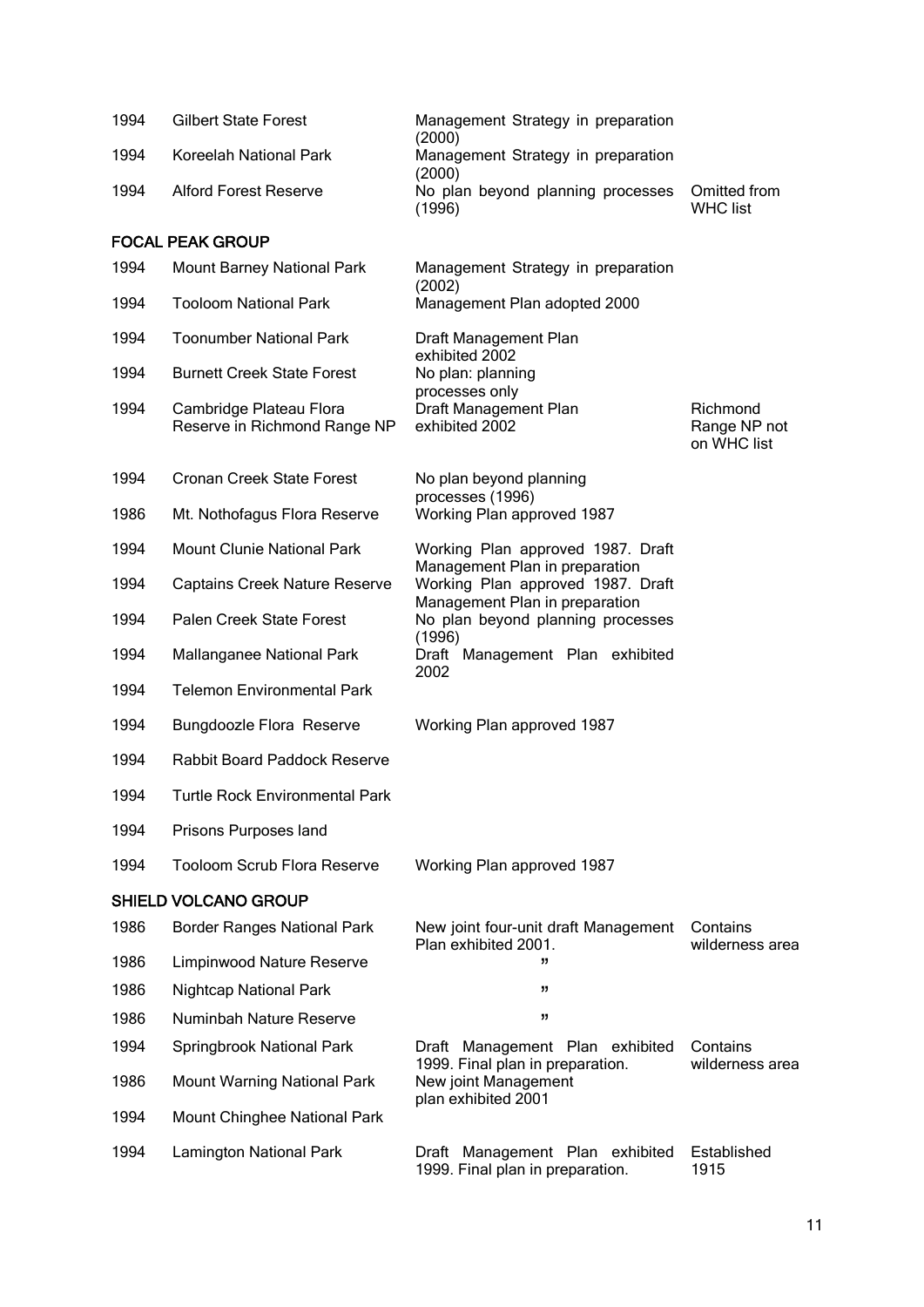| 1994 | <b>Gilbert State Forest</b>                             | Management Strategy in preparation<br>(2000)                        |                                         |
|------|---------------------------------------------------------|---------------------------------------------------------------------|-----------------------------------------|
| 1994 | Koreelah National Park                                  | Management Strategy in preparation                                  |                                         |
| 1994 | <b>Alford Forest Reserve</b>                            | (2000)<br>No plan beyond planning processes<br>(1996)               | Omitted from<br><b>WHC list</b>         |
|      | <b>FOCAL PEAK GROUP</b>                                 |                                                                     |                                         |
| 1994 | <b>Mount Barney National Park</b>                       | Management Strategy in preparation<br>(2002)                        |                                         |
| 1994 | <b>Tooloom National Park</b>                            | Management Plan adopted 2000                                        |                                         |
| 1994 | <b>Toonumber National Park</b>                          | Draft Management Plan<br>exhibited 2002                             |                                         |
| 1994 | <b>Burnett Creek State Forest</b>                       | No plan: planning                                                   |                                         |
| 1994 | Cambridge Plateau Flora<br>Reserve in Richmond Range NP | processes only<br>Draft Management Plan<br>exhibited 2002           | Richmond<br>Range NP not<br>on WHC list |
| 1994 | <b>Cronan Creek State Forest</b>                        | No plan beyond planning                                             |                                         |
| 1986 | Mt. Nothofagus Flora Reserve                            | processes (1996)<br>Working Plan approved 1987                      |                                         |
| 1994 | <b>Mount Clunie National Park</b>                       | Working Plan approved 1987. Draft                                   |                                         |
| 1994 | <b>Captains Creek Nature Reserve</b>                    | Management Plan in preparation<br>Working Plan approved 1987. Draft |                                         |
| 1994 | Palen Creek State Forest                                | Management Plan in preparation<br>No plan beyond planning processes |                                         |
| 1994 | Mallanganee National Park                               | (1996)<br>Draft Management Plan exhibited                           |                                         |
| 1994 | <b>Telemon Environmental Park</b>                       | 2002                                                                |                                         |
| 1994 | <b>Bungdoozle Flora Reserve</b>                         | Working Plan approved 1987                                          |                                         |
| 1994 | Rabbit Board Paddock Reserve                            |                                                                     |                                         |
| 1994 | Turtle Rock Environmental Park                          |                                                                     |                                         |
| 1994 | Prisons Purposes land                                   |                                                                     |                                         |
| 1994 | <b>Tooloom Scrub Flora Reserve</b>                      | Working Plan approved 1987                                          |                                         |
|      | <b>SHIELD VOLCANO GROUP</b>                             |                                                                     |                                         |
| 1986 | <b>Border Ranges National Park</b>                      | New joint four-unit draft Management<br>Plan exhibited 2001.        | Contains<br>wilderness area             |
| 1986 | Limpinwood Nature Reserve                               | "                                                                   |                                         |
| 1986 | <b>Nightcap National Park</b>                           | ,,                                                                  |                                         |
| 1986 | <b>Numinbah Nature Reserve</b>                          | "                                                                   |                                         |
| 1994 | Springbrook National Park                               | Draft Management Plan exhibited                                     | Contains                                |
| 1986 | <b>Mount Warning National Park</b>                      | 1999. Final plan in preparation.<br>New joint Management            | wilderness area                         |
| 1994 | Mount Chinghee National Park                            | plan exhibited 2001                                                 |                                         |
| 1994 | Lamington National Park                                 | Draft Management Plan exhibited<br>1999. Final plan in preparation. | Established<br>1915                     |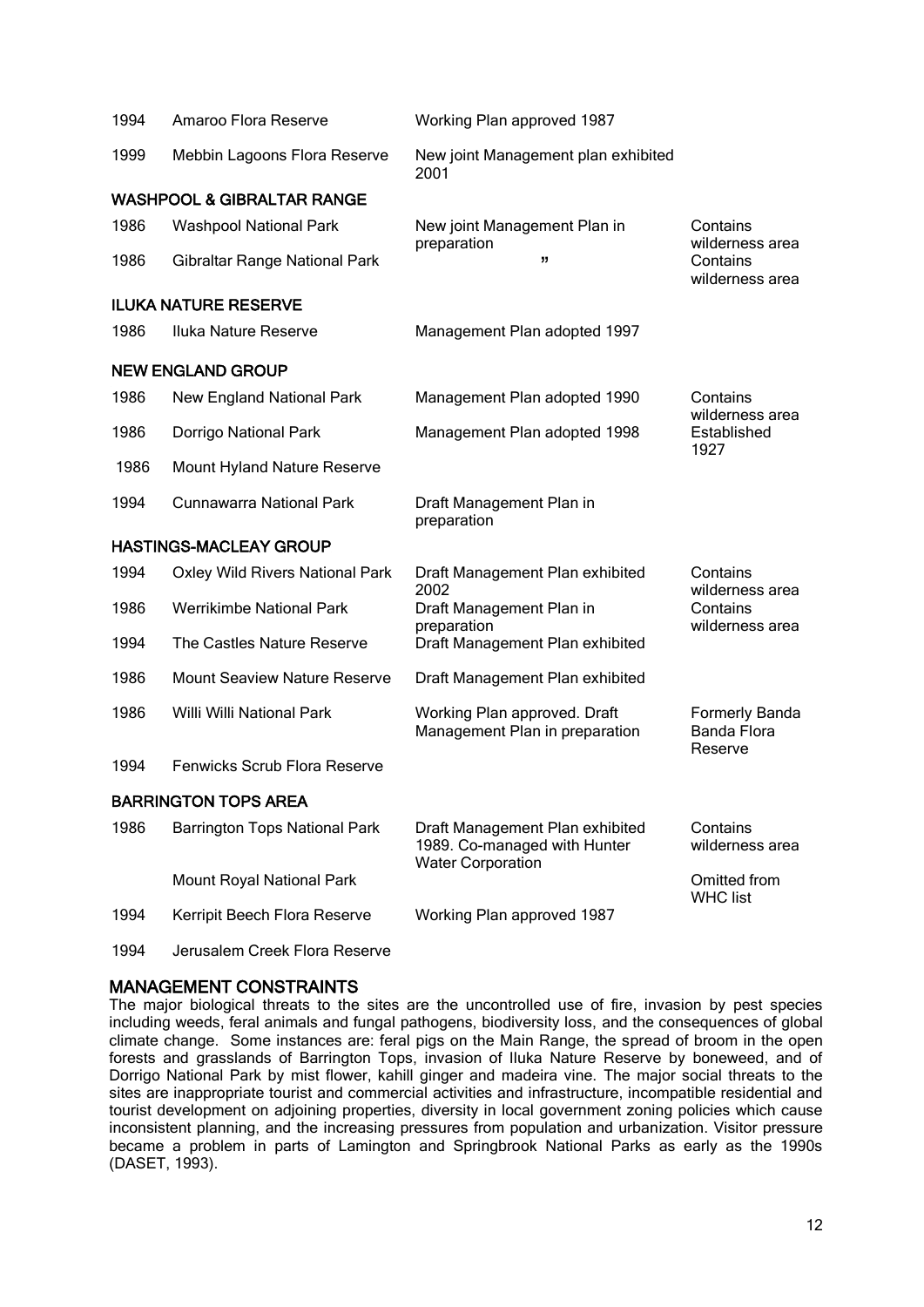| 1994 | Amaroo Flora Reserve                   | Working Plan approved 1987                                                                  |                                                |
|------|----------------------------------------|---------------------------------------------------------------------------------------------|------------------------------------------------|
| 1999 | Mebbin Lagoons Flora Reserve           | New joint Management plan exhibited<br>2001                                                 |                                                |
|      | <b>WASHPOOL &amp; GIBRALTAR RANGE</b>  |                                                                                             |                                                |
| 1986 | <b>Washpool National Park</b>          | New joint Management Plan in                                                                | Contains                                       |
| 1986 | Gibraltar Range National Park          | preparation<br>,,                                                                           | wilderness area<br>Contains<br>wilderness area |
|      | <b>ILUKA NATURE RESERVE</b>            |                                                                                             |                                                |
| 1986 | Iluka Nature Reserve                   | Management Plan adopted 1997                                                                |                                                |
|      | <b>NEW ENGLAND GROUP</b>               |                                                                                             |                                                |
| 1986 | <b>New England National Park</b>       | Management Plan adopted 1990                                                                | Contains                                       |
| 1986 | Dorrigo National Park                  | Management Plan adopted 1998                                                                | wilderness area<br>Established<br>1927         |
| 1986 | Mount Hyland Nature Reserve            |                                                                                             |                                                |
| 1994 | <b>Cunnawarra National Park</b>        | Draft Management Plan in<br>preparation                                                     |                                                |
|      | <b>HASTINGS-MACLEAY GROUP</b>          |                                                                                             |                                                |
| 1994 | <b>Oxley Wild Rivers National Park</b> | Draft Management Plan exhibited<br>2002                                                     | Contains<br>wilderness area                    |
| 1986 | <b>Werrikimbe National Park</b>        | Draft Management Plan in<br>preparation                                                     | Contains<br>wilderness area                    |
| 1994 | The Castles Nature Reserve             | Draft Management Plan exhibited                                                             |                                                |
| 1986 | <b>Mount Seaview Nature Reserve</b>    | Draft Management Plan exhibited                                                             |                                                |
| 1986 | Willi Willi National Park              | Working Plan approved. Draft<br>Management Plan in preparation                              | Formerly Banda<br>Banda Flora<br>Reserve       |
| 1994 | Fenwicks Scrub Flora Reserve           |                                                                                             |                                                |
|      | <b>BARRINGTON TOPS AREA</b>            |                                                                                             |                                                |
| 1986 | <b>Barrington Tops National Park</b>   | Draft Management Plan exhibited<br>1989. Co-managed with Hunter<br><b>Water Corporation</b> | Contains<br>wilderness area                    |
|      | Mount Royal National Park              |                                                                                             | Omitted from<br><b>WHC list</b>                |
| 1994 | Kerripit Beech Flora Reserve           | Working Plan approved 1987                                                                  |                                                |

1994 Jerusalem Creek Flora Reserve

## MANAGEMENT CONSTRAINTS

The major biological threats to the sites are the uncontrolled use of fire, invasion by pest species including weeds, feral animals and fungal pathogens, biodiversity loss, and the consequences of global climate change. Some instances are: feral pigs on the Main Range, the spread of broom in the open forests and grasslands of Barrington Tops, invasion of Iluka Nature Reserve by boneweed, and of Dorrigo National Park by mist flower, kahill ginger and madeira vine. The major social threats to the sites are inappropriate tourist and commercial activities and infrastructure, incompatible residential and tourist development on adjoining properties, diversity in local government zoning policies which cause inconsistent planning, and the increasing pressures from population and urbanization. Visitor pressure became a problem in parts of Lamington and Springbrook National Parks as early as the 1990s (DASET, 1993).